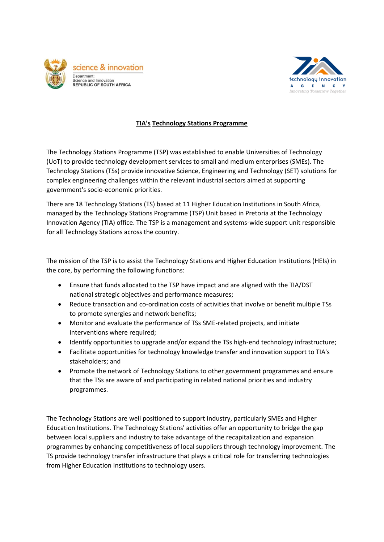



## **TIA's Technology Stations Programme**

The Technology Stations Programme (TSP) was established to enable Universities of Technology (UoT) to provide technology development services to small and medium enterprises (SMEs). The Technology Stations (TSs) provide innovative Science, Engineering and Technology (SET) solutions for complex engineering challenges within the relevant industrial sectors aimed at supporting government's socio-economic priorities.

There are 18 Technology Stations (TS) based at 11 Higher Education Institutions in South Africa, managed by the Technology Stations Programme (TSP) Unit based in Pretoria at the Technology Innovation Agency (TIA) office. The TSP is a management and systems-wide support unit responsible for all Technology Stations across the country.

The mission of the TSP is to assist the Technology Stations and Higher Education Institutions (HEIs) in the core, by performing the following functions:

- Ensure that funds allocated to the TSP have impact and are aligned with the TIA/DST national strategic objectives and performance measures;
- Reduce transaction and co-ordination costs of activities that involve or benefit multiple TSs to promote synergies and network benefits;
- Monitor and evaluate the performance of TSs SME-related projects, and initiate interventions where required;
- Identify opportunities to upgrade and/or expand the TSs high-end technology infrastructure;
- Facilitate opportunities for technology knowledge transfer and innovation support to TIA's stakeholders; and
- Promote the network of Technology Stations to other government programmes and ensure that the TSs are aware of and participating in related national priorities and industry programmes.

The Technology Stations are well positioned to support industry, particularly SMEs and Higher Education Institutions. The Technology Stations' activities offer an opportunity to bridge the gap between local suppliers and industry to take advantage of the recapitalization and expansion programmes by enhancing competitiveness of local suppliers through technology improvement. The TS provide technology transfer infrastructure that plays a critical role for transferring technologies from Higher Education Institutions to technology users.